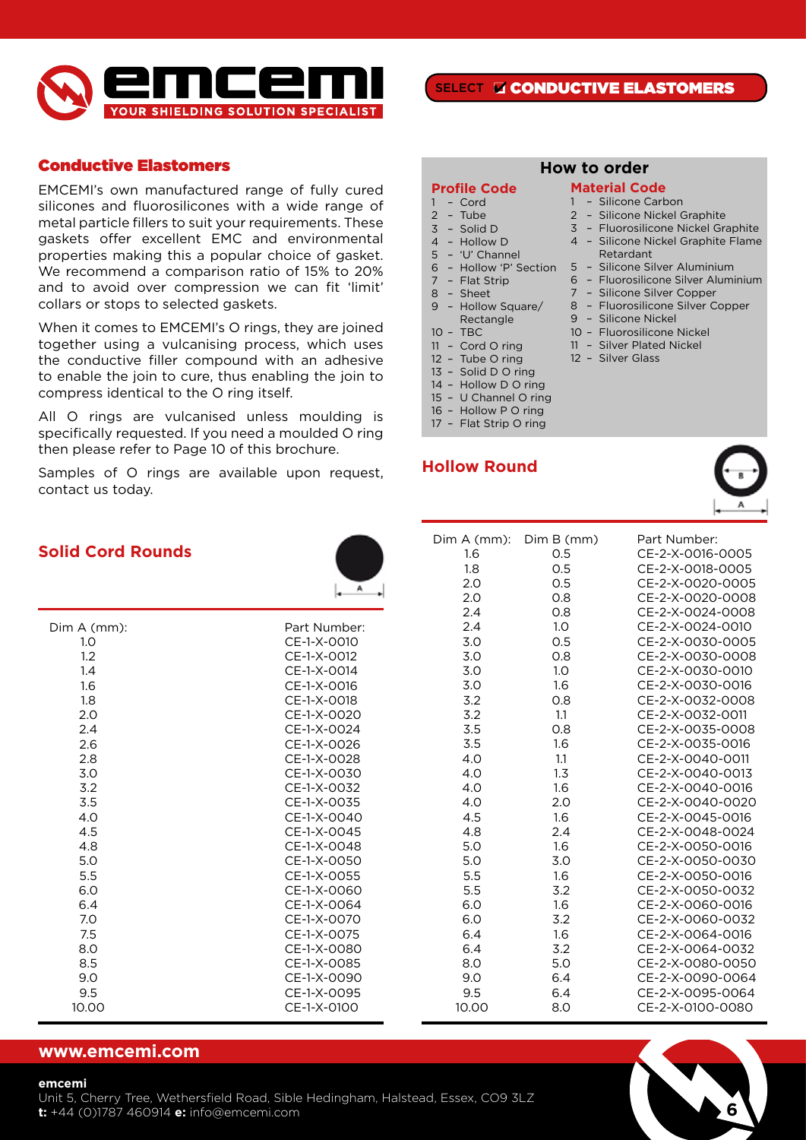

### Conductive Elastomers

EMCEMI's own manufactured range of fully cured silicones and fluorosilicones with a wide range of metal particle fillers to suit your requirements. These gaskets offer excellent EMC and environmental properties making this a popular choice of gasket. We recommend a comparison ratio of 15% to 20% and to avoid over compression we can fit 'limit' collars or stops to selected gaskets.

When it comes to EMCEMI's O rings, they are joined together using a vulcanising process, which uses the conductive filler compound with an adhesive to enable the join to cure, thus enabling the join to compress identical to the O ring itself.

All O rings are vulcanised unless moulding is specifically requested. If you need a moulded O ring then please refer to Page 10 of this brochure.

Samples of O rings are available upon request, contact us today.

SELECT **D** CONDUCTIVE ELASTOMERS

**How to order**

**Material Code** – Silicone Carbon – Silicone Nickel Graphite – Fluorosilicone Nickel Graphite – Silicone Nickel Graphite Flame

Retardant

 – Silicone Nickel – Fluorosilicone Nickel – Silver Plated Nickel – Silver Glass

6 – Fluorosilicone Silver Aluminium 7 – Silicone Silver Copper 8 – Fluorosilicone Silver Copper

### **Profile Code**

- $1 -$  Cord
- 2 Tube
- 3 Solid D  $4 -$  Hollow D
- 5 'U' Channel
- 6 Hollow 'P' Section 5 Silicone Silver Aluminium
- 7 Flat Strip
- 8 Sheet
- 9 Hollow Square/ Rectangle
- 10 TBC
- 11 Cord O ring
- 12 Tube O ring
- 13 Solid D O ring
- 14 Hollow D O ring
- 15 U Channel O ring
- 16 Hollow P O ring
- 17 Flat Strip O ring

# **Hollow Round**





**6**

| d Cord Rounds |              | Dim A (mm):<br>1.6<br>1.8<br>2.0<br>2.0 | Dim B (mm)<br>0.5<br>0.5<br>O.5<br>0.8 | Part Number:<br>CE-2-X-0016-0005<br>CE-2-X-0018-0005<br>CE-2-X-0020-0005<br>CE-2-X-0020-0008 |
|---------------|--------------|-----------------------------------------|----------------------------------------|----------------------------------------------------------------------------------------------|
|               |              | 2.4                                     | 0.8                                    | CE-2-X-0024-0008                                                                             |
| $A$ (mm):     | Part Number: | 2.4                                     | 1.0                                    | CE-2-X-0024-0010                                                                             |
| 1.0           | CE-1-X-0010  | 3.0                                     | 0.5                                    | CE-2-X-0030-0005                                                                             |
| 1.2           | CE-1-X-0012  | 3.0                                     | 0.8                                    | CE-2-X-0030-0008                                                                             |
| 1.4           | CE-1-X-0014  | 3.0                                     | 1.0                                    | CE-2-X-0030-0010                                                                             |
| 1.6           | CE-1-X-0016  | 3.0                                     | 1.6                                    | CE-2-X-0030-0016                                                                             |
| 1.8           | CE-1-X-0018  | 3.2                                     | 0.8                                    | CE-2-X-0032-0008                                                                             |
| 2.0           | CE-1-X-0020  | 3.2                                     | 1.1                                    | CE-2-X-0032-0011                                                                             |
| 2.4           | CE-1-X-0024  | 3.5                                     | 0.8                                    | CE-2-X-0035-0008                                                                             |
| 2.6           | CE-1-X-0026  | 3.5                                     | 1.6                                    | CE-2-X-0035-0016                                                                             |
| 2.8           | CE-1-X-0028  | 4.0                                     | 1.1                                    | CE-2-X-0040-0011                                                                             |
| 3.0           | CE-1-X-0030  | 4.0                                     | 1.3                                    | CE-2-X-0040-0013                                                                             |
| 3.2           | CE-1-X-0032  | 4.0                                     | 1.6                                    | CE-2-X-0040-0016                                                                             |
| 3.5           | CE-1-X-0035  | 4.0                                     | 2.0                                    | CE-2-X-0040-0020                                                                             |
| 4.0           | CE-1-X-0040  | 4.5                                     | 1.6                                    | CE-2-X-0045-0016                                                                             |
| 4.5           | CE-1-X-0045  | 4.8                                     | 2.4                                    | CE-2-X-0048-0024                                                                             |
| 4.8           | CE-1-X-0048  | 5.0                                     | 1.6                                    | CE-2-X-0050-0016                                                                             |
| 5.0           | CE-1-X-0050  | 5.0                                     | 3.0                                    | CE-2-X-0050-0030                                                                             |
| 5.5           | CE-1-X-0055  | 5.5                                     | 1.6                                    | CE-2-X-0050-0016                                                                             |
| 6.0           | CE-1-X-0060  | 5.5                                     | 3.2                                    | CE-2-X-0050-0032                                                                             |
| 6.4           | CE-1-X-0064  | 6.0                                     | 1.6                                    | CE-2-X-0060-0016                                                                             |
| 7.0           | CE-1-X-0070  | 6.0                                     | 3.2                                    | CE-2-X-0060-0032                                                                             |
| 7.5           | CE-1-X-0075  | 6.4                                     | 1.6                                    | CE-2-X-0064-0016                                                                             |
| 8.0           | CE-1-X-0080  | 6.4                                     | 3.2                                    | CE-2-X-0064-0032                                                                             |
| 8.5           | CE-1-X-0085  | 8.0                                     | 5.0                                    | CE-2-X-0080-0050                                                                             |
| 9.0           | CE-1-X-0090  | 9.0                                     | 6.4                                    | CE-2-X-0090-0064                                                                             |
| 9.5           | CE-1-X-0095  | 9.5                                     | 6.4                                    | CE-2-X-0095-0064                                                                             |
| 10.00         | CE-1-X-0100  | 10.00                                   | 8.0                                    | CE-2-X-0100-0080                                                                             |

### **www.emcemi.com**

### **emcemi**

Unit 5, Cherry Tree, Wethersfield Road, Sible Hedingham, Halstead, Essex, CO9 3LZ **t:** +44 (0)1787 460914 **e:** info@emcemi.com

### **Solid Cord Rounds**

 $Dim A (mm):$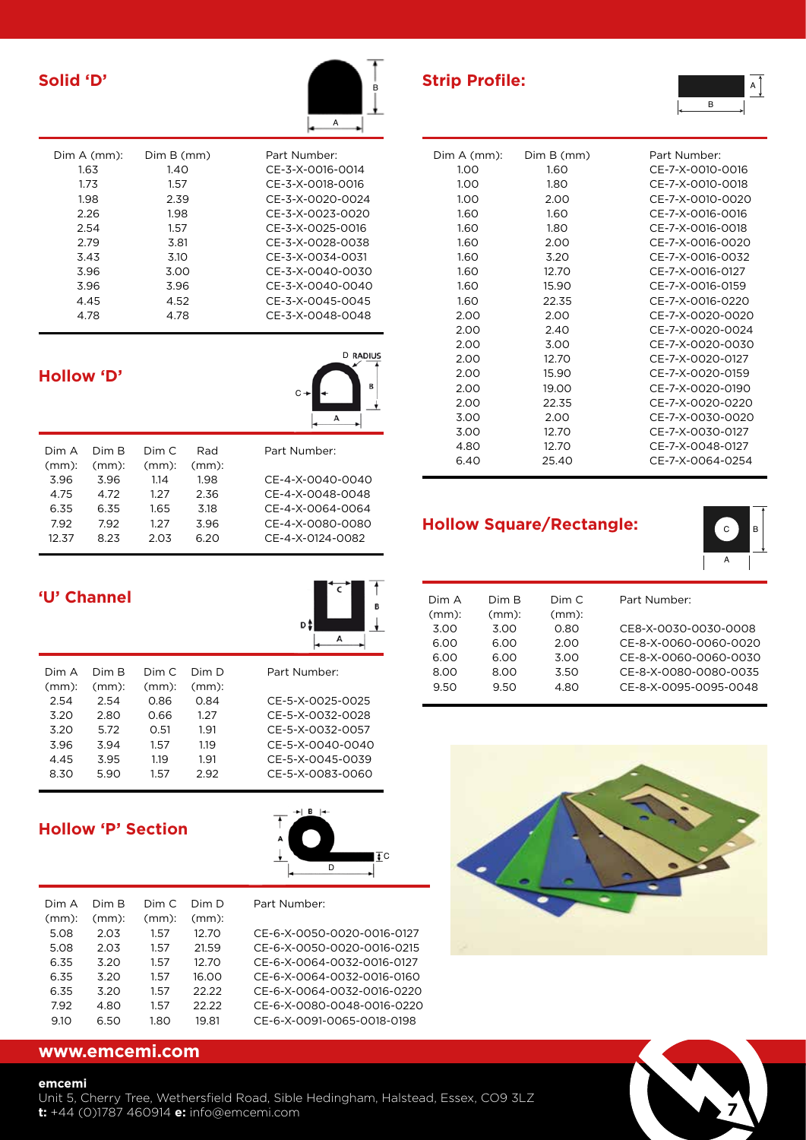|   | $\overline{B}$ |
|---|----------------|
| A |                |

**D** RADIUS

| Dim A (mm):<br>1.63 | Dim B (mm)<br>1.40 | Part Number:<br>CF-3-X-0016-0014     |
|---------------------|--------------------|--------------------------------------|
| 1.73<br>1.98        | 1.57<br>2.39       | CE-3-X-0018-0016<br>CE-3-X-0020-0024 |
| 2.26                | 1.98               | CF-3-X-0023-0020                     |
| 2.54                | 1.57               | CF-3-X-0025-0016                     |
| 2.79                | 3.81               | CF-3-X-0028-0038                     |
| 3.43                | 3.10               | CF-3-X-0034-0031                     |
| 3.96                | 3.00               | CE-3-X-0040-0030                     |
| 3.96                | 3.96               | CF-3-X-0040-0040                     |
| 4.45                | 4.52               | CF-3-X-0045-0045                     |
| 4.78                | 4.78               | CE-3-X-0048-0048                     |

# **Hollow 'D'**

|          |          |          |          | А                |
|----------|----------|----------|----------|------------------|
| Dim A    | Dim R    | Dim C    | Rad      | Part Number:     |
| $(mm)$ : | $(mm)$ : | $(mm)$ : | $(mm)$ : |                  |
| 3.96     | 3.96     | 1.14     | 1.98     | CE-4-X-0040-0040 |
| 4.75     | 4.72     | 1.27     | 2.36     | CF-4-X-0048-0048 |
| 6.35     | 6.35     | 1.65     | 3.18     | CF-4-X-0064-0064 |
| 7.92     | 7.92     | 1.27     | 3.96     | CE-4-X-0080-0080 |
| 12.37    | 8.23     | 2.03     | 6.20     | CF-4-X-0124-0082 |
|          |          |          |          |                  |

C

|          | <b>'U' Channel</b> |          |          |                  |
|----------|--------------------|----------|----------|------------------|
| Dim A    | Dim B              | Dim C    | Dim D    | Part Number:     |
| $(mm)$ : | $(mm)$ :           | $(mm)$ : | $(mm)$ : |                  |
| 2.54     | 2.54               | 0.86     | 0.84     | CE-5-X-0025-0025 |
| 3.20     | 2.80               | 0.66     | 1.27     | CE-5-X-0032-0028 |
| 3.20     | 5.72               | 0.51     | 1.91     | CE-5-X-0032-0057 |
| 3.96     | 3.94               | 1.57     | 1.19     | CE-5-X-0040-0040 |

# **Hollow 'P' Section**



| Dim A    | Dim R    | Dim C    | Dim D    | Part Number:               |
|----------|----------|----------|----------|----------------------------|
| $(mm)$ : | $(mm)$ : | $(mm)$ : | $(mm)$ : |                            |
| 5.08     | 2.03     | 1.57     | 12.70    | CE-6-X-0050-0020-0016-0127 |
| 5.08     | 2.03     | 1.57     | 21.59    | CE-6-X-0050-0020-0016-0215 |
| 6.35     | 3.20     | 1.57     | 12.70    | CE-6-X-0064-0032-0016-0127 |
| 6.35     | 3.20     | 1.57     | 16.00    | CE-6-X-0064-0032-0016-0160 |
| 6.35     | 3.20     | 1.57     | 22.22    | CE-6-X-0064-0032-0016-0220 |
| 7.92     | 4.80     | 1.57     | 22.22    | CE-6-X-0080-0048-0016-0220 |
| 9.10     | 6.50     | 1.80     | 19.81    | CE-6-X-0091-0065-0018-0198 |
|          |          |          |          |                            |

4.45 3.95 1.19 1.91 CE-5-X-0045-0039 8.30 5.90 1.57 2.92 CE-5-X-0083-0060

# **www.emcemi.com**

### **emcemi**

Unit 5, Cherry Tree, Wethersfield Road, Sible Hedingham, Halstead, Essex, CO9 3LZ **t:** +44 (0)1787 460914 **e:** info@emcemi.com **7**

**Solid 'D' Strip Profile:**



# **Hollow Square/Rectangle:**



A<sup>1</sup>

| Dim A    | Dim B    | Dim C    | Part Number:          |
|----------|----------|----------|-----------------------|
| $(mm)$ : | $(mm)$ : | $(mm)$ : |                       |
| 3.00     | 3.00     | 0.80     | CE8-X-0030-0030-0008  |
| 6.00     | 6.00     | 2.00     | CE-8-X-0060-0060-0020 |
| 6.00     | 6.00     | 3.00     | CE-8-X-0060-0060-0030 |
| 8.00     | 8.00     | 3.50     | CE-8-X-0080-0080-0035 |
| 9.50     | 9.50     | 4.80     | CE-8-X-0095-0095-0048 |
|          |          |          |                       |